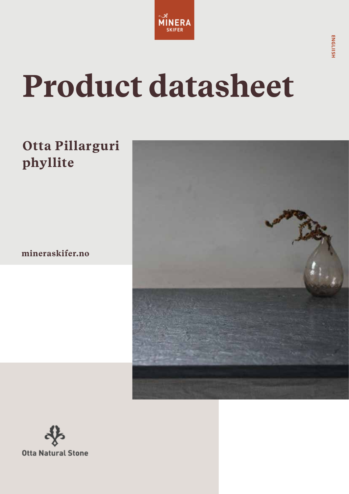

# **Product datasheet**

## **Otta Pillarguri phyllite**

**mineraskifer.no**



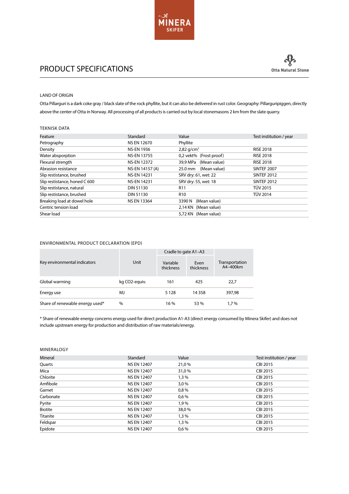

### PRODUCT SPECIFICATIONS

#### LAND OF ORIGIN

Otta Pillarguri is a dark coke gray / black slate of the rock phyllite, but it can also be delivered in rust color. Geography: Pillarguripiggen, directly above the center of Otta in Norway. All processing of all products is carried out by local stonemasons 2 km from the slate quarry.

#### TEKNISK DATA

| Feature                       | Standard           | Value                    | Test institution / year |
|-------------------------------|--------------------|--------------------------|-------------------------|
| Petrography                   | <b>NS EN 12670</b> | Phyllite                 |                         |
| Density                       | <b>NS-EN 1936</b>  | $2,82$ g/cm <sup>3</sup> | <b>RISE 2018</b>        |
| Water absporption             | <b>NS-EN 13755</b> | 0,2 vekt% (Frost proof)  | <b>RISE 2018</b>        |
| Flexural strength             | <b>NS-EN 12372</b> | 39.9 MPa<br>(Mean value) | <b>RISE 2018</b>        |
| Abrasion resistance           | NS-EN 14157 (A)    | (Mean value)<br>25.0 mm  | SINTEF 2007             |
| Slip restistance, brushed     | <b>NS-EN 14231</b> | SRV dry: 61, wet: 22     | <b>SINTEF 2012</b>      |
| Slip restistance, honed C 600 | <b>NS-EN 14231</b> | SRV dry: 55, wet: 18     | <b>SINTEF 2012</b>      |
| Slip restistance, natural     | DIN 51130          | R <sub>11</sub>          | <b>TÜV 2015</b>         |
| Slip restistance, brushed     | DIN 51130          | R <sub>10</sub>          | <b>TÜV 2014</b>         |
| Breaking load at dowel hole   | <b>NS EN 13364</b> | (Mean value)<br>3390 N   |                         |
| Centric tension load          |                    | 2,14 KN (Mean value)     |                         |
| Shear load                    |                    | 5,72 KN (Mean value)     |                         |

#### ENVIRONMENTAL PRODUCT DECLARATION (EPD)

|                                 |               | Cradle to gate A1-A3  |                   |                            |  |
|---------------------------------|---------------|-----------------------|-------------------|----------------------------|--|
| Key environmental indicators    | Unit          | Variable<br>thickness | Even<br>thickness | Transportation<br>A4-400km |  |
| Global warming                  | kg CO2-equiv. | 161                   | 425               | 22,7                       |  |
| Energy use                      | MJ            | 5 1 2 8               | 14 3 5 8          | 397.98                     |  |
| Share of renewable energy used* | $\%$          | 16 %                  | 53 %              | $1.7\%$                    |  |

\* Share of renewable energy concerns energy used for direct production A1-A3 (direct energy consumed by Minera Skifer) and does not include upstream energy for production and distribution of raw materials/energy.

#### MINERALOGY

| Mineral   | Standard           | Value | Test institution / year |
|-----------|--------------------|-------|-------------------------|
| Quarts    | <b>NS EN 12407</b> | 21,0% | CBI 2015                |
| Mica      | <b>NS EN 12407</b> | 31,0% | CBI 2015                |
| Chlorite  | <b>NS EN 12407</b> | 1,3%  | CBI 2015                |
| Amfibole  | <b>NS EN 12407</b> | 3,0%  | CBI 2015                |
| Garnet    | <b>NS EN 12407</b> | 0,8%  | CBI 2015                |
| Carbonate | <b>NS EN 12407</b> | 0,6%  | CBI 2015                |
| Pyrite    | <b>NS EN 12407</b> | 1,9%  | CBI 2015                |
| Biotite   | <b>NS EN 12407</b> | 38,0% | CBI 2015                |
| Titanite  | <b>NS EN 12407</b> | 1,3%  | CBI 2015                |
| Feldspar  | <b>NS EN 12407</b> | 1,3%  | CBI 2015                |
| Epidote   | <b>NS EN 12407</b> | 0.6%  | CBI 2015                |
|           |                    |       |                         |